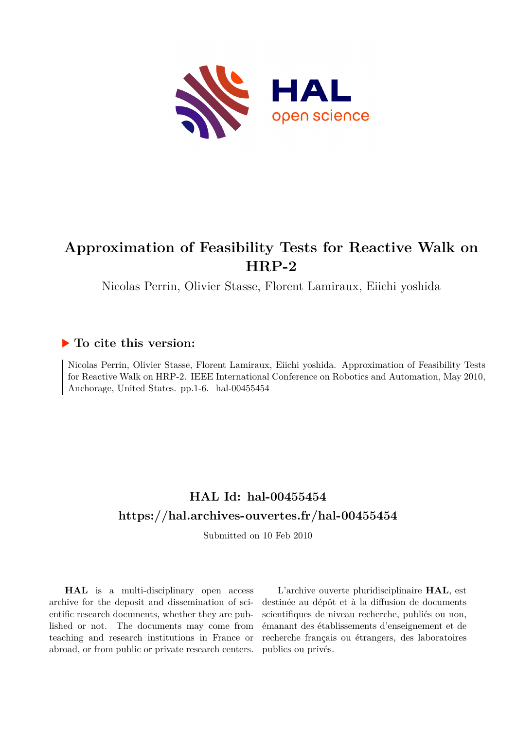

# **Approximation of Feasibility Tests for Reactive Walk on HRP-2**

Nicolas Perrin, Olivier Stasse, Florent Lamiraux, Eiichi yoshida

# **To cite this version:**

Nicolas Perrin, Olivier Stasse, Florent Lamiraux, Eiichi yoshida. Approximation of Feasibility Tests for Reactive Walk on HRP-2. IEEE International Conference on Robotics and Automation, May 2010, Anchorage, United States. pp.1-6. hal-00455454

# **HAL Id: hal-00455454 <https://hal.archives-ouvertes.fr/hal-00455454>**

Submitted on 10 Feb 2010

**HAL** is a multi-disciplinary open access archive for the deposit and dissemination of scientific research documents, whether they are published or not. The documents may come from teaching and research institutions in France or abroad, or from public or private research centers.

L'archive ouverte pluridisciplinaire **HAL**, est destinée au dépôt et à la diffusion de documents scientifiques de niveau recherche, publiés ou non, émanant des établissements d'enseignement et de recherche français ou étrangers, des laboratoires publics ou privés.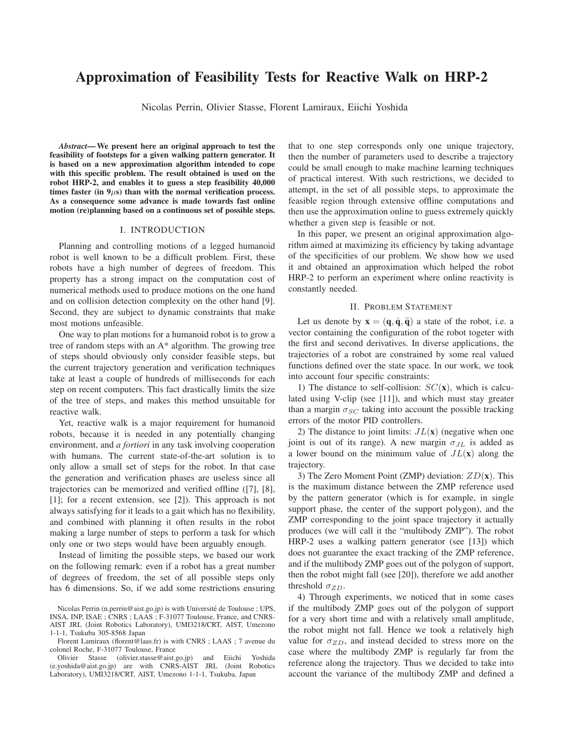# **Approximation of Feasibility Tests for Reactive Walk on HRP-2**

Nicolas Perrin, Olivier Stasse, Florent Lamiraux, Eiichi Yoshida

*Abstract***—We present here an original approach to test the feasibility of footsteps for a given walking pattern generator. It is based on a new approximation algorithm intended to cope with this specific problem. The result obtained is used on the robot HRP-2, and enables it to guess a step feasibility 40,000** times faster (in  $9\mu s$ ) than with the normal verification process. **As a consequence some advance is made towards fast online motion (re)planning based on a continuous set of possible steps.**

# I. INTRODUCTION

Planning and controlling motions of a legged humanoid robot is well known to be a difficult problem. First, these robots have a high number of degrees of freedom. This property has a strong impact on the computation cost of numerical methods used to produce motions on the one hand and on collision detection complexity on the other hand [9]. Second, they are subject to dynamic constraints that make most motions unfeasible.

One way to plan motions for a humanoid robot is to grow a tree of random steps with an A\* algorithm. The growing tree of steps should obviously only consider feasible steps, but the current trajectory generation and verification techniques take at least a couple of hundreds of milliseconds for each step on recent computers. This fact drastically limits the size of the tree of steps, and makes this method unsuitable for reactive walk.

Yet, reactive walk is a major requirement for humanoid robots, because it is needed in any potentially changing environment, and *a fortiori* in any task involving cooperation with humans. The current state-of-the-art solution is to only allow a small set of steps for the robot. In that case the generation and verification phases are useless since all trajectories can be memorized and verified offline ([7], [8], [1]; for a recent extension, see [2]). This approach is not always satisfying for it leads to a gait which has no flexibility, and combined with planning it often results in the robot making a large number of steps to perform a task for which only one or two steps would have been arguably enough.

Instead of limiting the possible steps, we based our work on the following remark: even if a robot has a great number of degrees of freedom, the set of all possible steps only has 6 dimensions. So, if we add some restrictions ensuring that to one step corresponds only one unique trajectory, then the number of parameters used to describe a trajectory could be small enough to make machine learning techniques of practical interest. With such restrictions, we decided to attempt, in the set of all possible steps, to approximate the feasible region through extensive offline computations and then use the approximation online to guess extremely quickly whether a given step is feasible or not.

In this paper, we present an original approximation algorithm aimed at maximizing its efficiency by taking advantage of the specificities of our problem. We show how we used it and obtained an approximation which helped the robot HRP-2 to perform an experiment where online reactivity is constantly needed.

# II. PROBLEM STATEMENT

Let us denote by  $\mathbf{x} = (\mathbf{q}, \dot{\mathbf{q}}, \ddot{\mathbf{q}})$  a state of the robot, i.e. a vector containing the configuration of the robot togeter with the first and second derivatives. In diverse applications, the trajectories of a robot are constrained by some real valued functions defined over the state space. In our work, we took into account four specific constraints:

1) The distance to self-collision:  $SC(\mathbf{x})$ , which is calculated using V-clip (see [11]), and which must stay greater than a margin  $\sigma_{SC}$  taking into account the possible tracking errors of the motor PID controllers.

2) The distance to joint limits:  $JL(\mathbf{x})$  (negative when one joint is out of its range). A new margin  $\sigma_{JL}$  is added as a lower bound on the minimum value of  $JL(\mathbf{x})$  along the trajectory.

3) The Zero Moment Point (ZMP) deviation: ZD(**x**). This is the maximum distance between the ZMP reference used by the pattern generator (which is for example, in single support phase, the center of the support polygon), and the ZMP corresponding to the joint space trajectory it actually produces (we will call it the "multibody ZMP"). The robot HRP-2 uses a walking pattern generator (see [13]) which does not guarantee the exact tracking of the ZMP reference, and if the multibody ZMP goes out of the polygon of support, then the robot might fall (see [20]), therefore we add another threshold  $\sigma_{ZD}$ .

4) Through experiments, we noticed that in some cases if the multibody ZMP goes out of the polygon of support for a very short time and with a relatively small amplitude, the robot might not fall. Hence we took a relatively high value for  $\sigma_{ZD}$ , and instead decided to stress more on the case where the multibody ZMP is regularly far from the reference along the trajectory. Thus we decided to take into account the variance of the multibody ZMP and defined a

Nicolas Perrin (n.perrin@aist.go.jp) is with Universite de Toulouse ; UPS, ´ INSA, INP, ISAE ; CNRS ; LAAS ; F-31077 Toulouse, France, and CNRS-AIST JRL (Joint Robotics Laboratory), UMI3218/CRT, AIST, Umezono 1-1-1, Tsukuba 305-8568 Japan

Florent Lamiraux (florent@laas.fr) is with CNRS ; LAAS ; 7 avenue du colonel Roche, F-31077 Toulouse, France

Olivier Stasse (olivier.stasse@aist.go.jp) and Eiichi Yoshida (e.yoshida@aist.go.jp) are with CNRS-AIST JRL (Joint Robotics Laboratory), UMI3218/CRT, AIST, Umezono 1-1-1, Tsukuba, Japan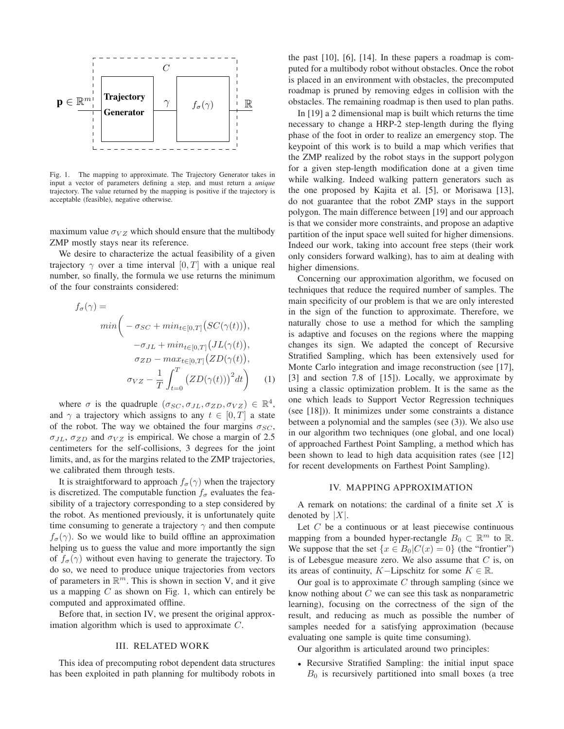

Fig. 1. The mapping to approximate. The Trajectory Generator takes in input a vector of parameters defining a step, and must return a *unique* trajectory. The value returned by the mapping is positive if the trajectory is acceptable (feasible), negative otherwise.

maximum value  $\sigma_{VZ}$  which should ensure that the multibody ZMP mostly stays near its reference.

We desire to characterize the actual feasibility of a given trajectory  $\gamma$  over a time interval [0, T] with a unique real number, so finally, the formula we use returns the minimum of the four constraints considered:

$$
f_{\sigma}(\gamma) = \min\left(-\sigma_{SC} + \min_{t \in [0,T]} \left( SC(\gamma(t)) \right), -\sigma_{JL} + \min_{t \in [0,T]} \left( JL(\gamma(t)) \right), -\sigma_{ZD} - \max_{t \in [0,T]} \left( ZD(\gamma(t)) \right), -\sigma_{YZ} - \frac{1}{T} \int_{t=0}^{T} \left( ZD(\gamma(t)) \right)^{2} dt \right) \tag{1}
$$

where  $\sigma$  is the quadruple  $(\sigma_{SC}, \sigma_{JL}, \sigma_{ZD}, \sigma_{VZ}) \in \mathbb{R}^4$ , and  $\gamma$  a trajectory which assigns to any  $t \in [0, T]$  a state of the robot. The way we obtained the four margins  $\sigma_{SC}$ ,  $\sigma_{JL}$ ,  $\sigma_{ZD}$  and  $\sigma_{VZ}$  is empirical. We chose a margin of 2.5 centimeters for the self-collisions, 3 degrees for the joint limits, and, as for the margins related to the ZMP trajectories, we calibrated them through tests.

It is straightforward to approach  $f_{\sigma}(\gamma)$  when the trajectory is discretized. The computable function  $f_{\sigma}$  evaluates the feasibility of a trajectory corresponding to a step considered by the robot. As mentioned previously, it is unfortunately quite time consuming to generate a trajectory  $\gamma$  and then compute  $f_{\sigma}(\gamma)$ . So we would like to build offline an approximation helping us to guess the value and more importantly the sign of  $f_{\sigma}(\gamma)$  without even having to generate the trajectory. To do so, we need to produce unique trajectories from vectors of parameters in  $\mathbb{R}^m$ . This is shown in section V, and it give us a mapping  $C$  as shown on Fig. 1, which can entirely be computed and approximated offline.

Before that, in section IV, we present the original approximation algorithm which is used to approximate C.

### III. RELATED WORK

This idea of precomputing robot dependent data structures has been exploited in path planning for multibody robots in the past [10], [6], [14]. In these papers a roadmap is computed for a multibody robot without obstacles. Once the robot is placed in an environment with obstacles, the precomputed roadmap is pruned by removing edges in collision with the obstacles. The remaining roadmap is then used to plan paths.

In [19] a 2 dimensional map is built which returns the time necessary to change a HRP-2 step-length during the flying phase of the foot in order to realize an emergency stop. The keypoint of this work is to build a map which verifies that the ZMP realized by the robot stays in the support polygon for a given step-length modification done at a given time while walking. Indeed walking pattern generators such as the one proposed by Kajita et al. [5], or Morisawa [13], do not guarantee that the robot ZMP stays in the support polygon. The main difference between [19] and our approach is that we consider more constraints, and propose an adaptive partition of the input space well suited for higher dimensions. Indeed our work, taking into account free steps (their work only considers forward walking), has to aim at dealing with higher dimensions.

Concerning our approximation algorithm, we focused on techniques that reduce the required number of samples. The main specificity of our problem is that we are only interested in the sign of the function to approximate. Therefore, we naturally chose to use a method for which the sampling is adaptive and focuses on the regions where the mapping changes its sign. We adapted the concept of Recursive Stratified Sampling, which has been extensively used for Monte Carlo integration and image reconstruction (see [17], [3] and section 7.8 of [15]). Locally, we approximate by using a classic optimization problem. It is the same as the one which leads to Support Vector Regression techniques (see [18])). It minimizes under some constraints a distance between a polynomial and the samples (see (3)). We also use in our algorithm two techniques (one global, and one local) of approached Farthest Point Sampling, a method which has been shown to lead to high data acquisition rates (see [12] for recent developments on Farthest Point Sampling).

### IV. MAPPING APPROXIMATION

A remark on notations: the cardinal of a finite set  $X$  is denoted by  $|X|$ .

Let  $C$  be a continuous or at least piecewise continuous mapping from a bounded hyper-rectangle  $B_0 \subset \mathbb{R}^m$  to  $\mathbb{R}$ . We suppose that the set  $\{x \in B_0 | C(x) = 0\}$  (the "frontier") is of Lebesgue measure zero. We also assume that  $C$  is, on its areas of continuity, K–Lipschitz for some  $K \in \mathbb{R}$ .

Our goal is to approximate  $C$  through sampling (since we know nothing about  $C$  we can see this task as nonparametric learning), focusing on the correctness of the sign of the result, and reducing as much as possible the number of samples needed for a satisfying approximation (because evaluating one sample is quite time consuming).

Our algorithm is articulated around two principles:

• Recursive Stratified Sampling: the initial input space  $B_0$  is recursively partitioned into small boxes (a tree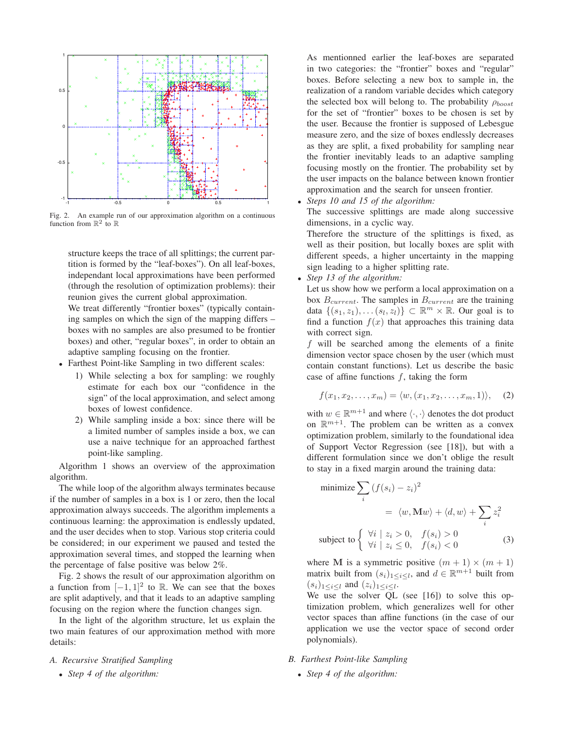

Fig. 2. An example run of our approximation algorithm on a continuous function from  $\mathbb{R}^2$  to  $\mathbb R$ 

structure keeps the trace of all splittings; the current partition is formed by the "leaf-boxes"). On all leaf-boxes, independant local approximations have been performed (through the resolution of optimization problems): their reunion gives the current global approximation.

We treat differently "frontier boxes" (typically containing samples on which the sign of the mapping differs – boxes with no samples are also presumed to be frontier boxes) and other, "regular boxes", in order to obtain an adaptive sampling focusing on the frontier.

- Farthest Point-like Sampling in two different scales:
	- 1) While selecting a box for sampling: we roughly estimate for each box our "confidence in the sign" of the local approximation, and select among boxes of lowest confidence.
	- 2) While sampling inside a box: since there will be a limited number of samples inside a box, we can use a naive technique for an approached farthest point-like sampling.

Algorithm 1 shows an overview of the approximation algorithm.

The while loop of the algorithm always terminates because if the number of samples in a box is 1 or zero, then the local approximation always succeeds. The algorithm implements a continuous learning: the approximation is endlessly updated, and the user decides when to stop. Various stop criteria could be considered; in our experiment we paused and tested the approximation several times, and stopped the learning when the percentage of false positive was below 2%.

Fig. 2 shows the result of our approximation algorithm on a function from  $[-1, 1]^2$  to R. We can see that the boxes are split adaptively, and that it leads to an adaptive sampling focusing on the region where the function changes sign.

In the light of the algorithm structure, let us explain the two main features of our approximation method with more details:

- *A. Recursive Stratified Sampling*
	- *Step 4 of the algorithm:*

As mentionned earlier the leaf-boxes are separated in two categories: the "frontier" boxes and "regular" boxes. Before selecting a new box to sample in, the realization of a random variable decides which category the selected box will belong to. The probability  $\rho_{boost}$ for the set of "frontier" boxes to be chosen is set by the user. Because the frontier is supposed of Lebesgue measure zero, and the size of boxes endlessly decreases as they are split, a fixed probability for sampling near the frontier inevitably leads to an adaptive sampling focusing mostly on the frontier. The probability set by the user impacts on the balance between known frontier approximation and the search for unseen frontier.

• *Steps 10 and 15 of the algorithm:*

The successive splittings are made along successive dimensions, in a cyclic way.

Therefore the structure of the splittings is fixed, as well as their position, but locally boxes are split with different speeds, a higher uncertainty in the mapping sign leading to a higher splitting rate.

• *Step 13 of the algorithm:*

Let us show how we perform a local approximation on a box  $B_{current}$ . The samples in  $B_{current}$  are the training data  $\{(s_1, z_1), \ldots (s_l, z_l)\} \subset \mathbb{R}^m \times \mathbb{R}$ . Our goal is to find a function  $f(x)$  that approaches this training data with correct sign.

 $f$  will be searched among the elements of a finite dimension vector space chosen by the user (which must contain constant functions). Let us describe the basic case of affine functions  $f$ , taking the form

$$
f(x_1, x_2, \dots, x_m) = \langle w, (x_1, x_2, \dots, x_m, 1) \rangle, \quad (2)
$$

with  $w \in \mathbb{R}^{m+1}$  and where  $\langle \cdot, \cdot \rangle$  denotes the dot product on  $\mathbb{R}^{m+1}$ . The problem can be written as a convex optimization problem, similarly to the foundational idea of Support Vector Regression (see [18]), but with a different formulation since we don't oblige the result to stay in a fixed margin around the training data:

minimize 
$$
\sum_{i} (f(s_i) - z_i)^2
$$

$$
= \langle w, \mathbf{M}w \rangle + \langle d, w \rangle + \sum_{i} z_i^2
$$
subject to 
$$
\begin{cases} \forall i \mid z_i > 0, & f(s_i) > 0 \\ \forall i \mid z_i \le 0, & f(s_i) < 0 \end{cases}
$$
 (3)

where M is a symmetric positive  $(m + 1) \times (m + 1)$ matrix built from  $(s_i)_{1 \leq i \leq l}$ , and  $d \in \mathbb{R}^{m+1}$  built from  $(s_i)_{1 \leq i \leq l}$  and  $(z_i)_{1 \leq i \leq l}$ .

We use the solver QL (see [16]) to solve this optimization problem, which generalizes well for other vector spaces than affine functions (in the case of our application we use the vector space of second order polynomials).

- *B. Farthest Point-like Sampling*
	- *Step 4 of the algorithm:*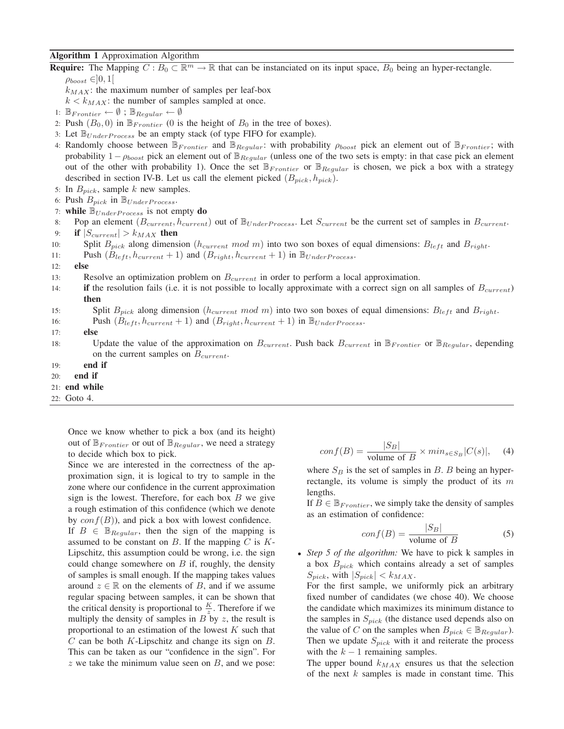### **Algorithm 1** Approximation Algorithm

**Require:** The Mapping  $C : B_0 \subset \mathbb{R}^m \to \mathbb{R}$  that can be instanciated on its input space,  $B_0$  being an hyper-rectangle.  $\rho_{boost} \in ]0,1[$ 

 $k_{MAX}$ : the maximum number of samples per leaf-box

 $k < k_{MAX}$ : the number of samples sampled at once.

- 1:  $\mathbb{B}_{Frontier} \leftarrow \emptyset$ ;  $\mathbb{B}_{Regular} \leftarrow \emptyset$
- 2: Push  $(B_0, 0)$  in  $\mathbb{B}_{Frontier}$  (0 is the height of  $B_0$  in the tree of boxes).
- 3: Let  $\mathbb{B}_{Under Process}$  be an empty stack (of type FIFO for example).
- 4: Randomly choose between  $\mathbb{B}_{Frontier}$  and  $\mathbb{B}_{Regular}$ : with probability  $\rho_{boost}$  pick an element out of  $\mathbb{B}_{Frontier}$ ; with probability  $1-\rho_{boost}$  pick an element out of  $\mathbb{B}_{Regular}$  (unless one of the two sets is empty: in that case pick an element out of the other with probability 1). Once the set  $\mathbb{B}_{Frontier}$  or  $\mathbb{B}_{Regular}$  is chosen, we pick a box with a strategy described in section IV-B. Let us call the element picked  $(B_{pick}, h_{pick})$ .
- 5: In  $B_{pick}$ , sample k new samples.
- 6: Push  $B_{pick}$  in  $\mathbb{B}_{UnderProcess}$ .
- 7: **while**  $\mathbb{B}_{UnderProcess}$  is not empty **do**
- 8: Pop an element  $(B_{current}, h_{current})$  out of  $\mathbb{B}_{Under Process}$ . Let  $S_{current}$  be the current set of samples in  $B_{current}$ . 9: **if**  $|S_{current}| > k_{MAX}$  then
- 10: Split  $B_{pick}$  along dimension  $(h_{current} \mod m)$  into two son boxes of equal dimensions:  $B_{left}$  and  $B_{right}$ .
- 11: Push  $(B_{left}, h_{current} + 1)$  and  $(B_{right}, h_{current} + 1)$  in  $\mathbb{B}_{Under Process}$ .
- 12: **else**
- 13: Resolve an optimization problem on  $B_{current}$  in order to perform a local approximation.
- 14: **if** the resolution fails (i.e. it is not possible to locally approximate with a correct sign on all samples of  $B_{current}$ ) **then**
- 15: Split  $B_{pick}$  along dimension  $(h_{current} \mod m)$  into two son boxes of equal dimensions:  $B_{left}$  and  $B_{right}$ .
- 16: Push  $(B_{left}, h_{current} + 1)$  and  $(B_{right}, h_{current} + 1)$  in  $\mathbb{B}_{Under Process}$ .
- 17: **else**
- 18: Update the value of the approximation on  $B_{current}$ . Push back  $B_{current}$  in  $\mathbb{B}_{Frontier}$  or  $\mathbb{B}_{Regular}$ , depending on the current samples on  $B_{current}$ .
- 19: **end if**
- 20: **end if**
- 21: **end while**
- 22: Goto 4.

Once we know whether to pick a box (and its height) out of  $\mathbb{B}_{Frontier}$  or out of  $\mathbb{B}_{Regular}$ , we need a strategy to decide which box to pick.

Since we are interested in the correctness of the approximation sign, it is logical to try to sample in the zone where our confidence in the current approximation sign is the lowest. Therefore, for each box  $B$  we give a rough estimation of this confidence (which we denote by  $conf(B)$ ), and pick a box with lowest confidence. If  $B \in \mathbb{B}_{\text{Regular}}$ , then the sign of the mapping is assumed to be constant on  $B$ . If the mapping  $C$  is  $K$ -Lipschitz, this assumption could be wrong, i.e. the sign could change somewhere on  $B$  if, roughly, the density of samples is small enough. If the mapping takes values around  $z \in \mathbb{R}$  on the elements of B, and if we assume regular spacing between samples, it can be shown that the critical density is proportional to  $\frac{K}{z}$ . Therefore if we multiply the density of samples in  $B$  by  $z$ , the result is proportional to an estimation of the lowest  $K$  such that  $C$  can be both  $K$ -Lipschitz and change its sign on  $B$ . This can be taken as our "confidence in the sign". For  $z$  we take the minimum value seen on  $B$ , and we pose:

$$
conf(B) = \frac{|S_B|}{\text{volume of } B} \times min_{s \in S_B} |C(s)|, \quad (4)
$$

where  $S_B$  is the set of samples in B. B being an hyperrectangle, its volume is simply the product of its  $m$ lengths.

If  $B \in \mathbb{B}_{Frontier}$ , we simply take the density of samples as an estimation of confidence:

$$
conf(B) = \frac{|S_B|}{\text{volume of } B} \tag{5}
$$

• *Step 5 of the algorithm:* We have to pick k samples in a box  $B_{pick}$  which contains already a set of samples  $S_{pick}$ , with  $|S_{pick}| < k_{MAX}$ .

For the first sample, we uniformly pick an arbitrary fixed number of candidates (we chose 40). We choose the candidate which maximizes its minimum distance to the samples in  $S_{pick}$  (the distance used depends also on the value of C on the samples when  $B_{pick} \in \mathbb{B}_{Regular}$ ). Then we update  $S_{pick}$  with it and reiterate the process with the  $k - 1$  remaining samples.

The upper bound  $k_{MAX}$  ensures us that the selection of the next  $k$  samples is made in constant time. This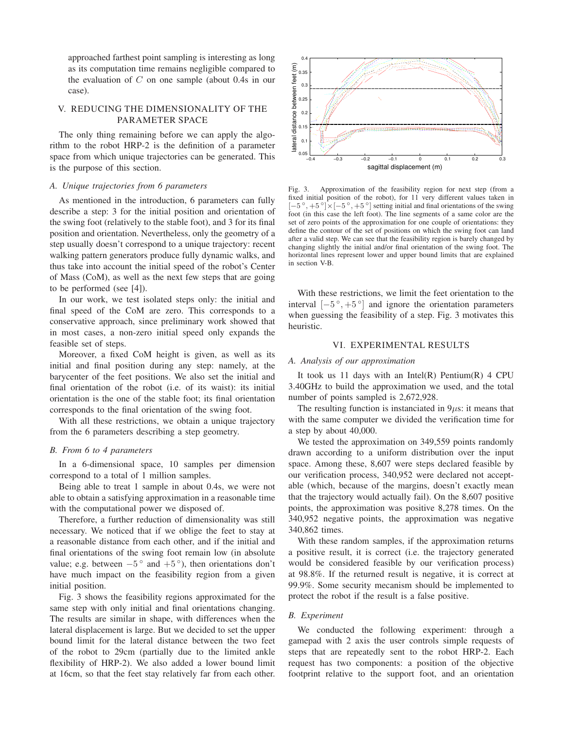approached farthest point sampling is interesting as long as its computation time remains negligible compared to the evaluation of  $C$  on one sample (about 0.4s in our case).

# V. REDUCING THE DIMENSIONALITY OF THE PARAMETER SPACE

The only thing remaining before we can apply the algorithm to the robot HRP-2 is the definition of a parameter space from which unique trajectories can be generated. This is the purpose of this section.

# *A. Unique trajectories from 6 parameters*

As mentioned in the introduction, 6 parameters can fully describe a step: 3 for the initial position and orientation of the swing foot (relatively to the stable foot), and 3 for its final position and orientation. Nevertheless, only the geometry of a step usually doesn't correspond to a unique trajectory: recent walking pattern generators produce fully dynamic walks, and thus take into account the initial speed of the robot's Center of Mass (CoM), as well as the next few steps that are going to be performed (see [4]).

In our work, we test isolated steps only: the initial and final speed of the CoM are zero. This corresponds to a conservative approach, since preliminary work showed that in most cases, a non-zero initial speed only expands the feasible set of steps.

Moreover, a fixed CoM height is given, as well as its initial and final position during any step: namely, at the barycenter of the feet positions. We also set the initial and final orientation of the robot (i.e. of its waist): its initial orientation is the one of the stable foot; its final orientation corresponds to the final orientation of the swing foot.

With all these restrictions, we obtain a unique trajectory from the 6 parameters describing a step geometry.

### *B. From 6 to 4 parameters*

In a 6-dimensional space, 10 samples per dimension correspond to a total of 1 million samples.

Being able to treat 1 sample in about 0.4s, we were not able to obtain a satisfying approximation in a reasonable time with the computational power we disposed of.

Therefore, a further reduction of dimensionality was still necessary. We noticed that if we oblige the feet to stay at a reasonable distance from each other, and if the initial and final orientations of the swing foot remain low (in absolute value; e.g. between  $-5^{\circ}$  and  $+5^{\circ}$ ), then orientations don't have much impact on the feasibility region from a given initial position.

Fig. 3 shows the feasibility regions approximated for the same step with only initial and final orientations changing. The results are similar in shape, with differences when the lateral displacement is large. But we decided to set the upper bound limit for the lateral distance between the two feet of the robot to 29cm (partially due to the limited ankle flexibility of HRP-2). We also added a lower bound limit at 16cm, so that the feet stay relatively far from each other.



Fig. 3. Approximation of the feasibility region for next step (from a fixed initial position of the robot), for 11 very different values taken in  $[-5^\circ, +5^\circ] \times [-5^\circ, +5^\circ]$  setting initial and final orientations of the swing foot (in this case the left foot). The line segments of a same color are the set of zero points of the approximation for one couple of orientations: they define the contour of the set of positions on which the swing foot can land after a valid step. We can see that the feasibility region is barely changed by changing slightly the initial and/or final orientation of the swing foot. The horizontal lines represent lower and upper bound limits that are explained in section V-B.

With these restrictions, we limit the feet orientation to the interval  $[-5^\circ, +5^\circ]$  and ignore the orientation parameters when guessing the feasibility of a step. Fig. 3 motivates this heuristic.

## VI. EXPERIMENTAL RESULTS

#### *A. Analysis of our approximation*

It took us 11 days with an Intel $(R)$  Pentium $(R)$  4 CPU 3.40GHz to build the approximation we used, and the total number of points sampled is 2,672,928.

The resulting function is instanciated in  $9\mu$ s: it means that with the same computer we divided the verification time for a step by about 40,000.

We tested the approximation on 349,559 points randomly drawn according to a uniform distribution over the input space. Among these, 8,607 were steps declared feasible by our verification process, 340,952 were declared not acceptable (which, because of the margins, doesn't exactly mean that the trajectory would actually fail). On the 8,607 positive points, the approximation was positive 8,278 times. On the 340,952 negative points, the approximation was negative 340,862 times.

With these random samples, if the approximation returns a positive result, it is correct (i.e. the trajectory generated would be considered feasible by our verification process) at 98.8%. If the returned result is negative, it is correct at 99.9%. Some security mecanism should be implemented to protect the robot if the result is a false positive.

## *B. Experiment*

We conducted the following experiment: through a gamepad with 2 axis the user controls simple requests of steps that are repeatedly sent to the robot HRP-2. Each request has two components: a position of the objective footprint relative to the support foot, and an orientation